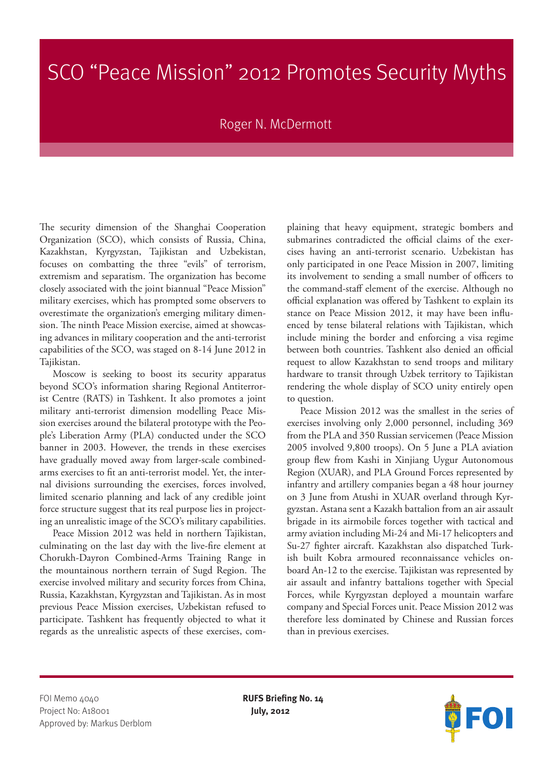## SCO "Peace Mission" 2012 Promotes Security Myths

## Roger N. McDermott

The security dimension of the Shanghai Cooperation Organization (SCO), which consists of Russia, China, Kazakhstan, Kyrgyzstan, Tajikistan and Uzbekistan, focuses on combatting the three "evils" of terrorism, extremism and separatism. The organization has become closely associated with the joint biannual "Peace Mission" military exercises, which has prompted some observers to overestimate the organization's emerging military dimension. The ninth Peace Mission exercise, aimed at showcasing advances in military cooperation and the anti-terrorist capabilities of the SCO, was staged on 8-14 June 2012 in Tajikistan.

Moscow is seeking to boost its security apparatus beyond SCO's information sharing Regional Antiterrorist Centre (RATS) in Tashkent. It also promotes a joint military anti-terrorist dimension modelling Peace Mission exercises around the bilateral prototype with the People's Liberation Army (PLA) conducted under the SCO banner in 2003. However, the trends in these exercises have gradually moved away from larger-scale combinedarms exercises to fit an anti-terrorist model. Yet, the internal divisions surrounding the exercises, forces involved, limited scenario planning and lack of any credible joint force structure suggest that its real purpose lies in projecting an unrealistic image of the SCO's military capabilities.

Peace Mission 2012 was held in northern Tajikistan, culminating on the last day with the live-fire element at Chorukh-Dayron Combined-Arms Training Range in the mountainous northern terrain of Sugd Region. The exercise involved military and security forces from China, Russia, Kazakhstan, Kyrgyzstan and Tajikistan. As in most previous Peace Mission exercises, Uzbekistan refused to participate. Tashkent has frequently objected to what it regards as the unrealistic aspects of these exercises, complaining that heavy equipment, strategic bombers and submarines contradicted the official claims of the exercises having an anti-terrorist scenario. Uzbekistan has only participated in one Peace Mission in 2007, limiting its involvement to sending a small number of officers to the command-staff element of the exercise. Although no official explanation was offered by Tashkent to explain its stance on Peace Mission 2012, it may have been influenced by tense bilateral relations with Tajikistan, which include mining the border and enforcing a visa regime between both countries. Tashkent also denied an official request to allow Kazakhstan to send troops and military hardware to transit through Uzbek territory to Tajikistan rendering the whole display of SCO unity entirely open to question.

Peace Mission 2012 was the smallest in the series of exercises involving only 2,000 personnel, including 369 from the PLA and 350 Russian servicemen (Peace Mission 2005 involved 9,800 troops). On 5 June a PLA aviation group flew from Kashi in Xinjiang Uygur Autonomous Region (XUAR), and PLA Ground Forces represented by infantry and artillery companies began a 48 hour journey on 3 June from Atushi in XUAR overland through Kyrgyzstan. Astana sent a Kazakh battalion from an air assault brigade in its airmobile forces together with tactical and army aviation including Mi-24 and Mi-17 helicopters and Su-27 fighter aircraft. Kazakhstan also dispatched Turkish built Kobra armoured reconnaissance vehicles onboard An-12 to the exercise. Tajikistan was represented by air assault and infantry battalions together with Special Forces, while Kyrgyzstan deployed a mountain warfare company and Special Forces unit. Peace Mission 2012 was therefore less dominated by Chinese and Russian forces than in previous exercises.

FOI Memo 4040 **RUFS Briefing No. 14** Project No: A18001 **July, 2012** Approved by: Markus Derblom